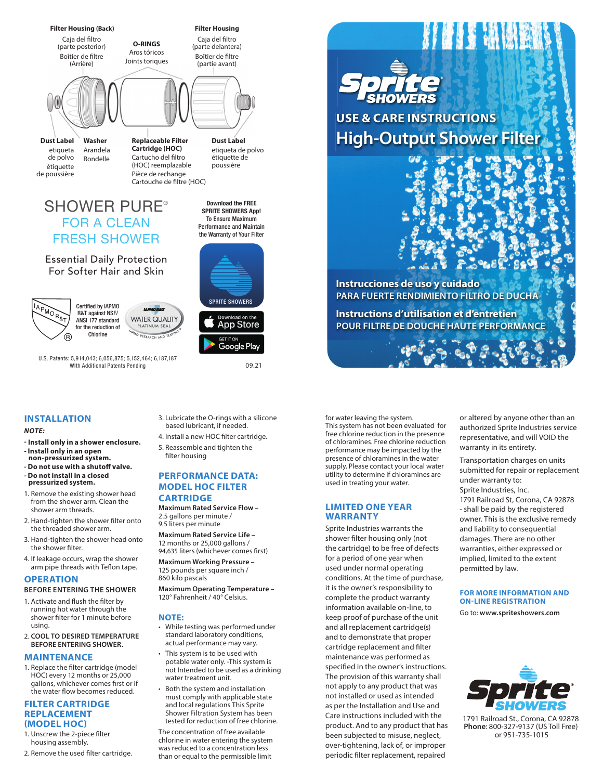

de polvo de poussière Rondelle

Cartucho del filtro (HOC) reemplazable étiquette poussière Pièce de rechange Cartouche de filtre (HOC)

étiquette de

**Download the FREE SPRITE SHOWERS App!**  To Ensure Maximum Performance and Maintain the Warranty of Your Filter

# SHOWER PURE® FOR A CLEAN FRESH SHOWER

Essential Daily Protection For Softer Hair and Skin



Certified by IAPMO R&T against NSF/ ANSI 177 standard for the reduction of Chlorine



U.S. Patents: 5,914,043; 6,056,875; 5,152,464; 6,187,187 WIth Additional Patents Pending

# **INSTALLATION**

## *NOTE:*

- **Install only in a shower enclosure. - Install only in an open non-pressurized system.**
- **Do not use with a shutoff valve. - Do not install in a closed**
- **pressurized system.**
- 1. Remove the existing shower head from the shower arm. Clean the shower arm threads.
- 2. Hand-tighten the shower filter onto the threaded shower arm.
- 3. Hand-tighten the shower head onto the shower filter.
- 4. If leakage occurs, wrap the shower arm pipe threads with Teflon tape.

# **OPERATION**

## **BEFORE ENTERING THE SHOWER**

- 1. Activate and flush the filter by running hot water through the shower filter for 1 minute before using.
- 2. **COOL TO DESIRED TEMPERATURE BEFORE ENTERING SHOWER.**

# **MAINTENANCE**

1. Replace the filter cartridge (model HOC) every 12 months or 25,000 gallons, whichever comes first or if the water flow becomes reduced.

## **FILTER CARTRIDGE REPLACEMENT (MODEL HOC)**

- 1. Unscrew the 2-piece filter housing assembly.
- 2. Remove the used filter cartridge.

3. Lubricate the O-rings with a silicone based lubricant, if needed.

SPRITE SHOWERS

**App Store** 

Google Play

09.21

4. Install a new HOC filter cartridge. 5. Reassemble and tighten the filter housing

**PERFORMANCE DATA: MODEL HOC FILTER**

**CARTRIDGE Maximum Rated Service Flow –** 2.5 gallons per minute /

9.5 liters per minute **Maximum Rated Service Life –**

12 months or 25,000 gallons / 94,635 liters (whichever comes first)

**Maximum Working Pressure –** 125 pounds per square inch / 860 kilo pascals

**Maximum Operating Temperature –** 120° Fahrenheit / 40° Celsius.

# **NOTE:**

- While testing was performed under standard laboratory conditions, actual performance may vary.
- This system is to be used with potable water only. -This system is not Intended to be used as a drinking water treatment unit.
- Both the system and installation must comply with applicable state and local regulations This Sprite Shower Filtration System has been tested for reduction of free chlorine.

The concentration of free available chlorine in water entering the system was reduced to a concentration less than or equal to the permissible limit



**Instrucciones de uso y cuidado PARA FUERTE RENDIMIENTO FILTRO DE DUCHA**

**Instructions d'utilisation et d'entretien POUR FILTRE DE DOUCHE HAUTE PERFORMANCE**

for water leaving the system. This system has not been evaluated for free chlorine reduction in the presence of chloramines. Free chlorine reduction performance may be impacted by the presence of chloramines in the water supply. Please contact your local water utility to determine if chloramines are used in treating your water.

# **LIMITED ONE YEAR WARRANTY**

Sprite Industries warrants the shower filter housing only (not the cartridge) to be free of defects for a period of one year when used under normal operating conditions. At the time of purchase, it is the owner's responsibility to complete the product warranty information available on-line, to keep proof of purchase of the unit and all replacement cartridge(s) and to demonstrate that proper cartridge replacement and filter maintenance was performed as specified in the owner's instructions. The provision of this warranty shall not apply to any product that was not installed or used as intended as per the Installation and Use and Care instructions included with the product. And to any product that has been subjected to misuse, neglect, over-tightening, lack of, or improper periodic filter replacement, repaired

or altered by anyone other than an authorized Sprite Industries service representative, and will VOID the warranty in its entirety.

Transportation charges on units submitted for repair or replacement under warranty to: Sprite Industries, Inc.

1791 Railroad St, Corona, CA 92878 - shall be paid by the registered owner. This is the exclusive remedy and liability to consequential damages. There are no other warranties, either expressed or implied, limited to the extent permitted by law.

# **FOR MORE INFORMATION AND ON-LINE REGISTRATION**

Go to: **www.spriteshowers.com**



1791 Railroad St., Corona, CA 92878 **Phone**: 800-327-9137 (US Toll Free) or 951-735-1015